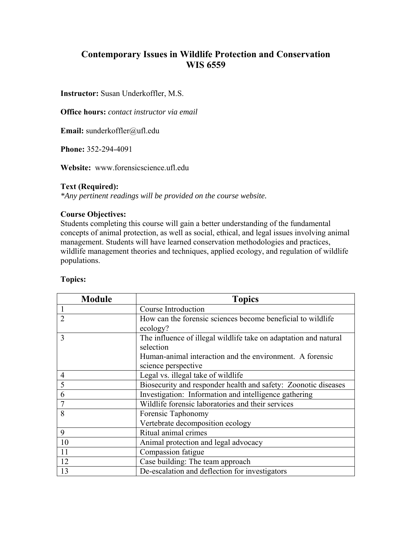# **Contemporary Issues in Wildlife Protection and Conservation WIS 6559**

**Instructor:** Susan Underkoffler, M.S.

**Office hours:** *contact instructor via email*

**Email:** sunderkoffler@ufl.edu

**Phone:** 352-294-4091

**Website:** www.forensicscience.ufl.edu

#### **Text (Required):**

*\*Any pertinent readings will be provided on the course website.*

#### **Course Objectives:**

Students completing this course will gain a better understanding of the fundamental concepts of animal protection, as well as social, ethical, and legal issues involving animal management. Students will have learned conservation methodologies and practices, wildlife management theories and techniques, applied ecology, and regulation of wildlife populations.

#### **Topics:**

| <b>Module</b>  | <b>Topics</b>                                                    |
|----------------|------------------------------------------------------------------|
|                | Course Introduction                                              |
| $\overline{2}$ | How can the forensic sciences become beneficial to wildlife      |
|                | ecology?                                                         |
| 3              | The influence of illegal wildlife take on adaptation and natural |
|                | selection                                                        |
|                | Human-animal interaction and the environment. A forensic         |
|                | science perspective                                              |
| $\overline{4}$ | Legal vs. illegal take of wildlife                               |
| 5              | Biosecurity and responder health and safety: Zoonotic diseases   |
| 6              | Investigation: Information and intelligence gathering            |
|                | Wildlife forensic laboratories and their services                |
| 8              | Forensic Taphonomy                                               |
|                | Vertebrate decomposition ecology                                 |
| 9              | Ritual animal crimes                                             |
| 10             | Animal protection and legal advocacy                             |
| 11             | Compassion fatigue                                               |
| 12             | Case building: The team approach                                 |
| 13             | De-escalation and deflection for investigators                   |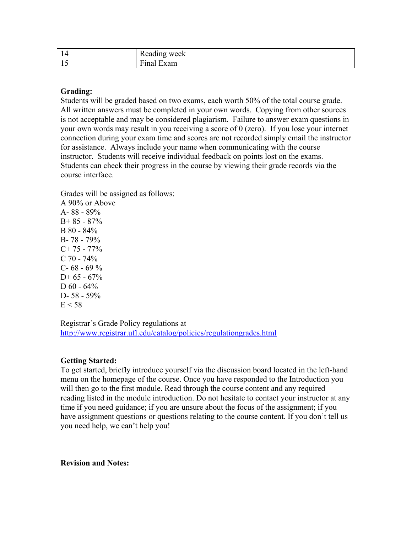| -4<br>-14                 | . .<br>week<br>Reading       |
|---------------------------|------------------------------|
| -<br>$\blacktriangleleft$ | $- -$<br>$\Delta \lambda$ am |

# **Grading:**

Students will be graded based on two exams, each worth 50% of the total course grade. All written answers must be completed in your own words. Copying from other sources is not acceptable and may be considered plagiarism. Failure to answer exam questions in your own words may result in you receiving a score of 0 (zero). If you lose your internet connection during your exam time and scores are not recorded simply email the instructor for assistance. Always include your name when communicating with the course instructor. Students will receive individual feedback on points lost on the exams. Students can check their progress in the course by viewing their grade records via the course interface.

Grades will be assigned as follows: A 90% or Above A- 88 - 89%  $B+ 85 - 87\%$  $B 80 - 84%$ B- 78 - 79%  $C+ 75 - 77\%$  $C$  70 - 74%  $C - 68 - 69\%$  $D+ 65 - 67\%$  $D\,60 - 64\%$ D- 58 - 59%  $E < 58$ 

Registrar's Grade Policy regulations at http://www.registrar.ufl.edu/catalog/policies/regulationgrades.html

# **Getting Started:**

To get started, briefly introduce yourself via the discussion board located in the left-hand menu on the homepage of the course. Once you have responded to the Introduction you will then go to the first module. Read through the course content and any required reading listed in the module introduction. Do not hesitate to contact your instructor at any time if you need guidance; if you are unsure about the focus of the assignment; if you have assignment questions or questions relating to the course content. If you don't tell us you need help, we can't help you!

**Revision and Notes:**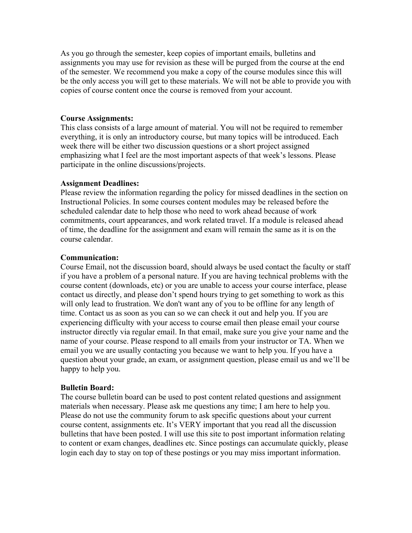As you go through the semester, keep copies of important emails, bulletins and assignments you may use for revision as these will be purged from the course at the end of the semester. We recommend you make a copy of the course modules since this will be the only access you will get to these materials. We will not be able to provide you with copies of course content once the course is removed from your account.

#### **Course Assignments:**

This class consists of a large amount of material. You will not be required to remember everything, it is only an introductory course, but many topics will be introduced. Each week there will be either two discussion questions or a short project assigned emphasizing what I feel are the most important aspects of that week's lessons. Please participate in the online discussions/projects.

# **Assignment Deadlines:**

Please review the information regarding the policy for missed deadlines in the section on Instructional Policies. In some courses content modules may be released before the scheduled calendar date to help those who need to work ahead because of work commitments, court appearances, and work related travel. If a module is released ahead of time, the deadline for the assignment and exam will remain the same as it is on the course calendar.

# **Communication:**

Course Email, not the discussion board, should always be used contact the faculty or staff if you have a problem of a personal nature. If you are having technical problems with the course content (downloads, etc) or you are unable to access your course interface, please contact us directly, and please don't spend hours trying to get something to work as this will only lead to frustration. We don't want any of you to be offline for any length of time. Contact us as soon as you can so we can check it out and help you. If you are experiencing difficulty with your access to course email then please email your course instructor directly via regular email. In that email, make sure you give your name and the name of your course. Please respond to all emails from your instructor or TA. When we email you we are usually contacting you because we want to help you. If you have a question about your grade, an exam, or assignment question, please email us and we'll be happy to help you.

# **Bulletin Board:**

The course bulletin board can be used to post content related questions and assignment materials when necessary. Please ask me questions any time; I am here to help you. Please do not use the community forum to ask specific questions about your current course content, assignments etc. It's VERY important that you read all the discussion bulletins that have been posted. I will use this site to post important information relating to content or exam changes, deadlines etc. Since postings can accumulate quickly, please login each day to stay on top of these postings or you may miss important information.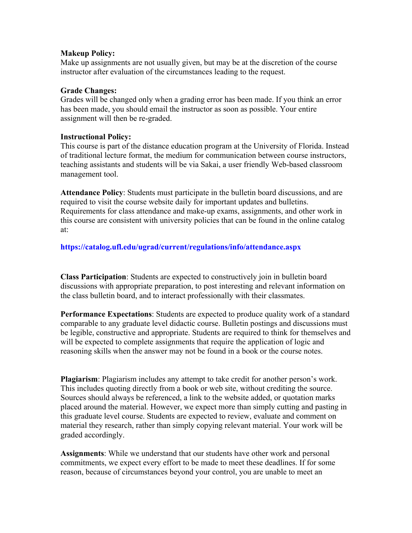### **Makeup Policy:**

Make up assignments are not usually given, but may be at the discretion of the course instructor after evaluation of the circumstances leading to the request.

### **Grade Changes:**

Grades will be changed only when a grading error has been made. If you think an error has been made, you should email the instructor as soon as possible. Your entire assignment will then be re-graded.

# **Instructional Policy:**

This course is part of the distance education program at the University of Florida. Instead of traditional lecture format, the medium for communication between course instructors, teaching assistants and students will be via Sakai, a user friendly Web-based classroom management tool.

**Attendance Policy**: Students must participate in the bulletin board discussions, and are required to visit the course website daily for important updates and bulletins. Requirements for class attendance and make-up exams, assignments, and other work in this course are consistent with university policies that can be found in the online catalog at:

# **https://catalog.ufl.edu/ugrad/current/regulations/info/attendance.aspx**

**Class Participation**: Students are expected to constructively join in bulletin board discussions with appropriate preparation, to post interesting and relevant information on the class bulletin board, and to interact professionally with their classmates.

**Performance Expectations**: Students are expected to produce quality work of a standard comparable to any graduate level didactic course. Bulletin postings and discussions must be legible, constructive and appropriate. Students are required to think for themselves and will be expected to complete assignments that require the application of logic and reasoning skills when the answer may not be found in a book or the course notes.

**Plagiarism**: Plagiarism includes any attempt to take credit for another person's work. This includes quoting directly from a book or web site, without crediting the source. Sources should always be referenced, a link to the website added, or quotation marks placed around the material. However, we expect more than simply cutting and pasting in this graduate level course. Students are expected to review, evaluate and comment on material they research, rather than simply copying relevant material. Your work will be graded accordingly.

**Assignments**: While we understand that our students have other work and personal commitments, we expect every effort to be made to meet these deadlines. If for some reason, because of circumstances beyond your control, you are unable to meet an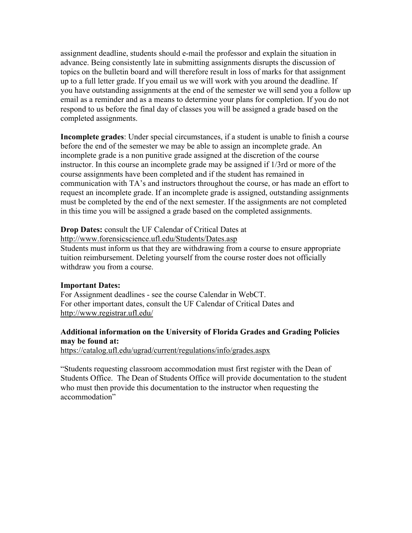assignment deadline, students should e-mail the professor and explain the situation in advance. Being consistently late in submitting assignments disrupts the discussion of topics on the bulletin board and will therefore result in loss of marks for that assignment up to a full letter grade. If you email us we will work with you around the deadline. If you have outstanding assignments at the end of the semester we will send you a follow up email as a reminder and as a means to determine your plans for completion. If you do not respond to us before the final day of classes you will be assigned a grade based on the completed assignments.

**Incomplete grades**: Under special circumstances, if a student is unable to finish a course before the end of the semester we may be able to assign an incomplete grade. An incomplete grade is a non punitive grade assigned at the discretion of the course instructor. In this course an incomplete grade may be assigned if 1/3rd or more of the course assignments have been completed and if the student has remained in communication with TA's and instructors throughout the course, or has made an effort to request an incomplete grade. If an incomplete grade is assigned, outstanding assignments must be completed by the end of the next semester. If the assignments are not completed in this time you will be assigned a grade based on the completed assignments.

# **Drop Dates:** consult the UF Calendar of Critical Dates at

http://www.forensicscience.ufl.edu/Students/Dates.asp

Students must inform us that they are withdrawing from a course to ensure appropriate tuition reimbursement. Deleting yourself from the course roster does not officially withdraw you from a course.

#### **Important Dates:**

For Assignment deadlines - see the course Calendar in WebCT. For other important dates, consult the UF Calendar of Critical Dates and http://www.registrar.ufl.edu/

# **Additional information on the University of Florida Grades and Grading Policies may be found at:**

https://catalog.ufl.edu/ugrad/current/regulations/info/grades.aspx

"Students requesting classroom accommodation must first register with the Dean of Students Office. The Dean of Students Office will provide documentation to the student who must then provide this documentation to the instructor when requesting the accommodation"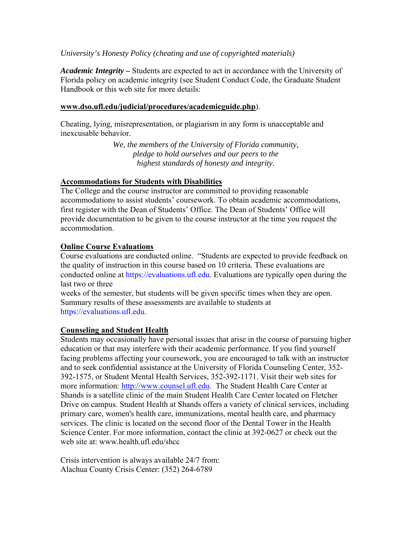# *University's Honesty Policy (cheating and use of copyrighted materials)*

*Academic Integrity –* Students are expected to act in accordance with the University of Florida policy on academic integrity (see Student Conduct Code, the Graduate Student Handbook or this web site for more details:

#### **www.dso.ufl.edu/judicial/procedures/academicguide.php**).

Cheating, lying, misrepresentation, or plagiarism in any form is unacceptable and inexcusable behavior.

> *We, the members of the University of Florida community, pledge to hold ourselves and our peers to the highest standards of honesty and integrity.*

#### **Accommodations for Students with Disabilities**

The College and the course instructor are committed to providing reasonable accommodations to assist students' coursework. To obtain academic accommodations, first register with the Dean of Students' Office. The Dean of Students' Office will provide documentation to be given to the course instructor at the time you request the accommodation.

#### **Online Course Evaluations**

Course evaluations are conducted online. "Students are expected to provide feedback on the quality of instruction in this course based on 10 criteria. These evaluations are conducted online at https://evaluations.ufl.edu. Evaluations are typically open during the last two or three

weeks of the semester, but students will be given specific times when they are open. Summary results of these assessments are available to students at https://evaluations.ufl.edu.

#### **Counseling and Student Health**

Students may occasionally have personal issues that arise in the course of pursuing higher education or that may interfere with their academic performance. If you find yourself facing problems affecting your coursework, you are encouraged to talk with an instructor and to seek confidential assistance at the University of Florida Counseling Center, 352- 392-1575, or Student Mental Health Services, 352-392-1171. Visit their web sites for more information: http://www.counsel.ufl.edu. The Student Health Care Center at Shands is a satellite clinic of the main Student Health Care Center located on Fletcher Drive on campus. Student Health at Shands offers a variety of clinical services, including primary care, women's health care, immunizations, mental health care, and pharmacy services. The clinic is located on the second floor of the Dental Tower in the Health Science Center. For more information, contact the clinic at 392-0627 or check out the web site at: www.health.ufl.edu/shcc

Crisis intervention is always available 24/7 from: Alachua County Crisis Center: (352) 264-6789